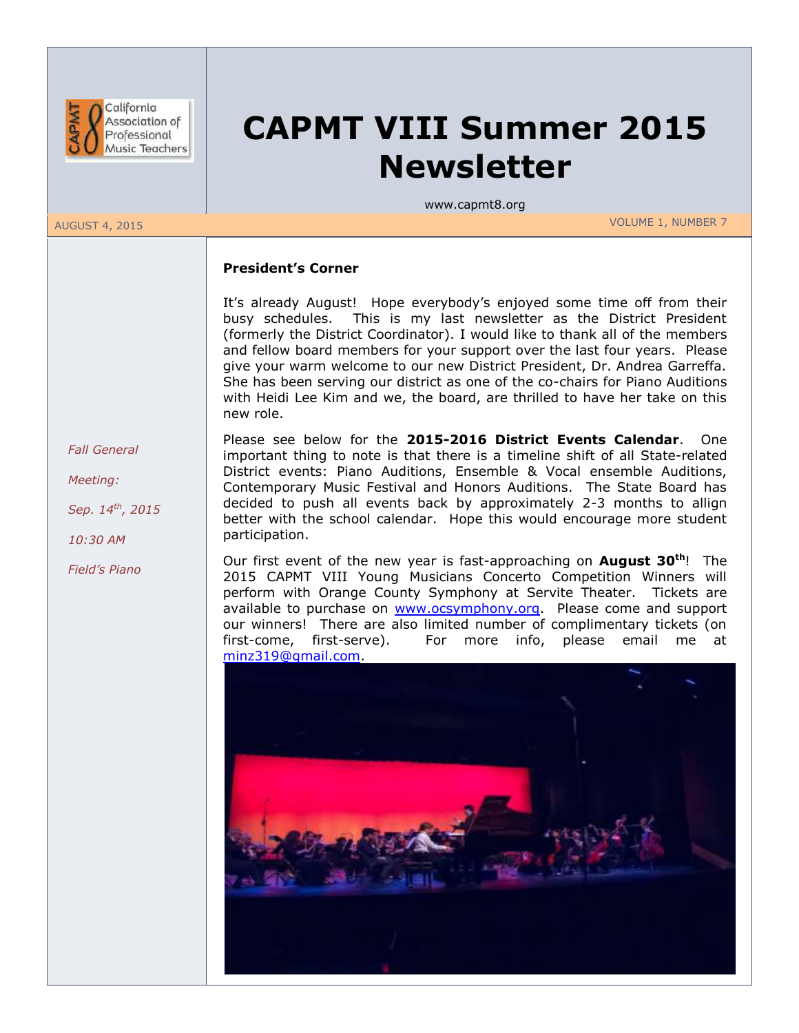

# **CAPMT VIII Summer 2015 Newsletter**

www.capmt8.org

AUGUST 4, 2015 VOLUME 1, NUMBER 7

#### **President's Corner**

It's already August! Hope everybody's enjoyed some time off from their busy schedules. This is my last newsletter as the District President (formerly the District Coordinator). I would like to thank all of the members and fellow board members for your support over the last four years. Please give your warm welcome to our new District President, Dr. Andrea Garreffa. She has been serving our district as one of the co-chairs for Piano Auditions with Heidi Lee Kim and we, the board, are thrilled to have her take on this new role.

 *Fall General*

 *Meeting:*

 *Sep. 14th, 2015*

 *10:30 AM*

 *Field's Piano*

Please see below for the **2015-2016 District Events Calendar**. One important thing to note is that there is a timeline shift of all State-related District events: Piano Auditions, Ensemble & Vocal ensemble Auditions, Contemporary Music Festival and Honors Auditions. The State Board has decided to push all events back by approximately 2-3 months to allign better with the school calendar. Hope this would encourage more student participation.

Our first event of the new year is fast-approaching on **August 30th**! The 2015 CAPMT VIII Young Musicians Concerto Competition Winners will perform with Orange County Symphony at Servite Theater. Tickets are available to purchase on [www.ocsymphony.org.](http://www.ocsymphony.org/) Please come and support our winners! There are also limited number of complimentary tickets (on first-come, first-serve). For more info, please email me at [minz319@gmail.com.](mailto:minz319@gmail.com)

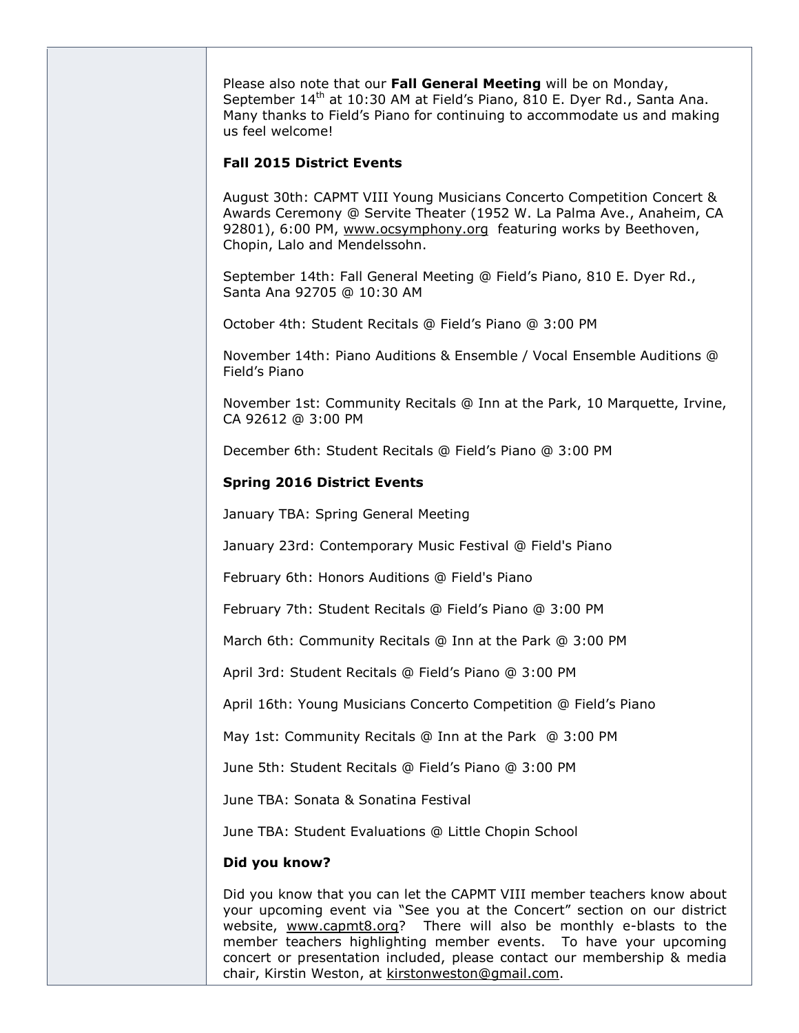Please also note that our **Fall General Meeting** will be on Monday, September 14<sup>th</sup> at 10:30 AM at Field's Piano, 810 E. Dyer Rd., Santa Ana. Many thanks to Field's Piano for continuing to accommodate us and making us feel welcome!

#### **Fall 2015 District Events**

August 30th: CAPMT VIII Young Musicians Concerto Competition Concert & Awards Ceremony @ Servite Theater (1952 W. La Palma Ave., Anaheim, CA 92801), 6:00 PM, [www.ocsymphony.org](http://www.ocsymphony.org/) featuring works by Beethoven, Chopin, Lalo and Mendelssohn.

September 14th: Fall General Meeting @ Field's Piano, 810 E. Dyer Rd., Santa Ana 92705 @ 10:30 AM

October 4th: Student Recitals @ Field's Piano @ 3:00 PM

November 14th: Piano Auditions & Ensemble / Vocal Ensemble Auditions @ Field's Piano

November 1st: Community Recitals @ Inn at the Park, 10 Marquette, Irvine, CA 92612 @ 3:00 PM

December 6th: Student Recitals @ Field's Piano @ 3:00 PM

#### **Spring 2016 District Events**

January TBA: Spring General Meeting

January 23rd: Contemporary Music Festival @ Field's Piano

February 6th: Honors Auditions @ Field's Piano

February 7th: Student Recitals @ Field's Piano @ 3:00 PM

March 6th: Community Recitals @ Inn at the Park @ 3:00 PM

April 3rd: Student Recitals @ Field's Piano @ 3:00 PM

April 16th: Young Musicians Concerto Competition @ Field's Piano

May 1st: Community Recitals @ Inn at the Park @ 3:00 PM

June 5th: Student Recitals @ Field's Piano @ 3:00 PM

June TBA: Sonata & Sonatina Festival

June TBA: Student Evaluations @ Little Chopin School

#### **Did you know?**

Did you know that you can let the CAPMT VIII member teachers know about your upcoming event via "See you at the Concert" section on our district website, [www.capmt8.org?](http://www.capmt8.org/) There will also be monthly e-blasts to the member teachers highlighting member events. To have your upcoming concert or presentation included, please contact our membership & media chair, Kirstin Weston, at [kirstonweston@gmail.com.](mailto:kirstonweston@gmail.com)